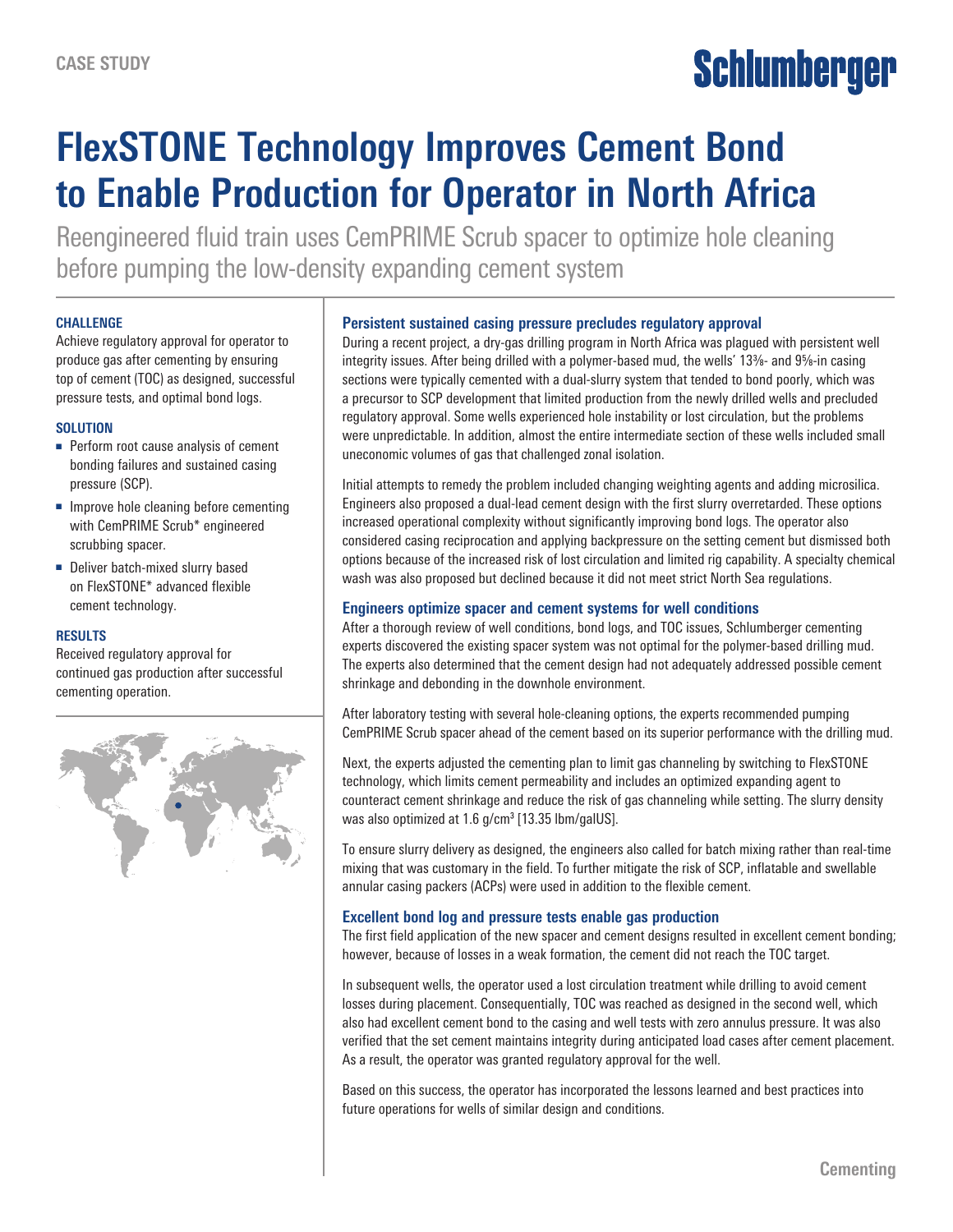# Schlumberger

# **FlexSTONE Technology Improves Cement Bond to Enable Production for Operator in North Africa**

Reengineered fluid train uses CemPRIME Scrub spacer to optimize hole cleaning before pumping the low-density expanding cement system

#### **CHALLENGE**

Achieve regulatory approval for operator to produce gas after cementing by ensuring top of cement (TOC) as designed, successful pressure tests, and optimal bond logs.

#### **SOLUTION**

- Perform root cause analysis of cement bonding failures and sustained casing pressure (SCP).
- Improve hole cleaning before cementing with CemPRIME Scrub\* engineered scrubbing spacer.
- Deliver batch-mixed slurry based on FlexSTONE\* advanced flexible cement technology.

#### **RESULTS**

Received regulatory approval for continued gas production after successful cementing operation.



## **Persistent sustained casing pressure precludes regulatory approval**

During a recent project, a dry-gas drilling program in North Africa was plagued with persistent well integrity issues. After being drilled with a polymer-based mud, the wells' 13%- and 9%-in casing sections were typically cemented with a dual-slurry system that tended to bond poorly, which was a precursor to SCP development that limited production from the newly drilled wells and precluded regulatory approval. Some wells experienced hole instability or lost circulation, but the problems were unpredictable. In addition, almost the entire intermediate section of these wells included small uneconomic volumes of gas that challenged zonal isolation.

Initial attempts to remedy the problem included changing weighting agents and adding microsilica. Engineers also proposed a dual-lead cement design with the first slurry overretarded. These options increased operational complexity without significantly improving bond logs. The operator also considered casing reciprocation and applying backpressure on the setting cement but dismissed both options because of the increased risk of lost circulation and limited rig capability. A specialty chemical wash was also proposed but declined because it did not meet strict North Sea regulations.

# **Engineers optimize spacer and cement systems for well conditions**

After a thorough review of well conditions, bond logs, and TOC issues, Schlumberger cementing experts discovered the existing spacer system was not optimal for the polymer-based drilling mud. The experts also determined that the cement design had not adequately addressed possible cement shrinkage and debonding in the downhole environment.

After laboratory testing with several hole-cleaning options, the experts recommended pumping CemPRIME Scrub spacer ahead of the cement based on its superior performance with the drilling mud.

Next, the experts adjusted the cementing plan to limit gas channeling by switching to FlexSTONE technology, which limits cement permeability and includes an optimized expanding agent to counteract cement shrinkage and reduce the risk of gas channeling while setting. The slurry density was also optimized at  $1.6$  g/cm<sup>3</sup> [13.35 lbm/galUS].

To ensure slurry delivery as designed, the engineers also called for batch mixing rather than real-time mixing that was customary in the field. To further mitigate the risk of SCP, inflatable and swellable annular casing packers (ACPs) were used in addition to the flexible cement.

## **Excellent bond log and pressure tests enable gas production**

The first field application of the new spacer and cement designs resulted in excellent cement bonding; however, because of losses in a weak formation, the cement did not reach the TOC target.

In subsequent wells, the operator used a lost circulation treatment while drilling to avoid cement losses during placement. Consequentially, TOC was reached as designed in the second well, which also had excellent cement bond to the casing and well tests with zero annulus pressure. It was also verified that the set cement maintains integrity during anticipated load cases after cement placement. As a result, the operator was granted regulatory approval for the well.

Based on this success, the operator has incorporated the lessons learned and best practices into future operations for wells of similar design and conditions.